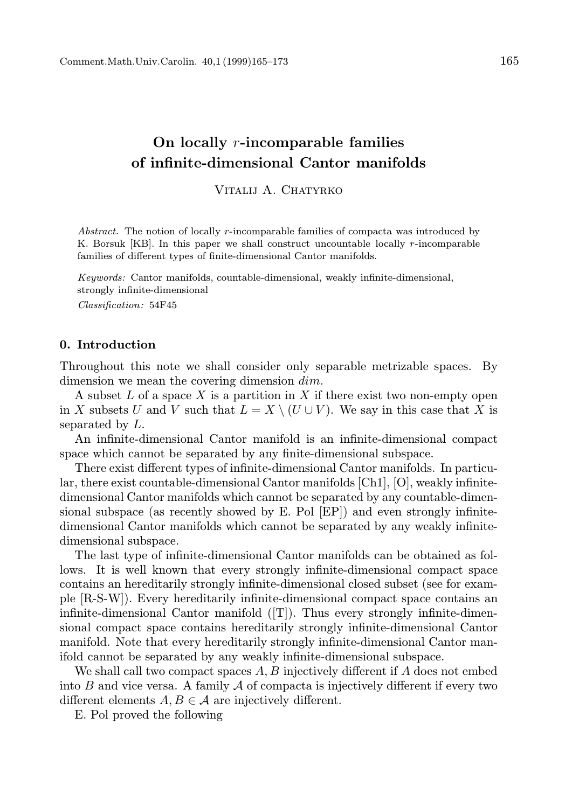# On locally r-incomparable families of infinite-dimensional Cantor manifolds

Vitalij A. Chatyrko

Abstract. The notion of locally r-incomparable families of compacta was introduced by K. Borsuk [KB]. In this paper we shall construct uncountable locally r-incomparable families of different types of finite-dimensional Cantor manifolds.

Keywords: Cantor manifolds, countable-dimensional, weakly infinite-dimensional, strongly infinite-dimensional Classification: 54F45

#### 0. Introduction

Throughout this note we shall consider only separable metrizable spaces. By dimension we mean the covering dimension dim.

A subset  $L$  of a space  $X$  is a partition in  $X$  if there exist two non-empty open in X subsets U and V such that  $L = X \setminus (U \cup V)$ . We say in this case that X is separated by L.

An infinite-dimensional Cantor manifold is an infinite-dimensional compact space which cannot be separated by any finite-dimensional subspace.

There exist different types of infinite-dimensional Cantor manifolds. In particular, there exist countable-dimensional Cantor manifolds [Ch1], [O], weakly infinitedimensional Cantor manifolds which cannot be separated by any countable-dimensional subspace (as recently showed by E. Pol [EP]) and even strongly infinitedimensional Cantor manifolds which cannot be separated by any weakly infinitedimensional subspace.

The last type of infinite-dimensional Cantor manifolds can be obtained as follows. It is well known that every strongly infinite-dimensional compact space contains an hereditarily strongly infinite-dimensional closed subset (see for example [R-S-W]). Every hereditarily infinite-dimensional compact space contains an infinite-dimensional Cantor manifold ([T]). Thus every strongly infinite-dimensional compact space contains hereditarily strongly infinite-dimensional Cantor manifold. Note that every hereditarily strongly infinite-dimensional Cantor manifold cannot be separated by any weakly infinite-dimensional subspace.

We shall call two compact spaces  $A, B$  injectively different if  $A$  does not embed into  $B$  and vice versa. A family  $A$  of compacta is injectively different if every two different elements  $A, B \in \mathcal{A}$  are injectively different.

E. Pol proved the following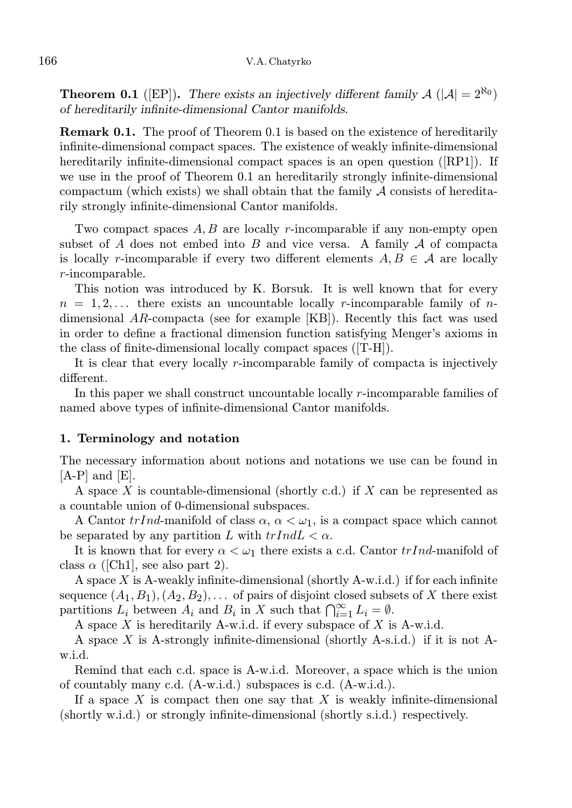**Theorem 0.1** ([EP]). There exists an injectively different family  $A \mid |A| = 2^{\aleph_0}$ ) of hereditarily infinite-dimensional Cantor manifolds.

Remark 0.1. The proof of Theorem 0.1 is based on the existence of hereditarily infinite-dimensional compact spaces. The existence of weakly infinite-dimensional hereditarily infinite-dimensional compact spaces is an open question ([RP1]). If we use in the proof of Theorem 0.1 an hereditarily strongly infinite-dimensional compactum (which exists) we shall obtain that the family  $A$  consists of hereditarily strongly infinite-dimensional Cantor manifolds.

Two compact spaces  $A, B$  are locally r-incomparable if any non-empty open subset of A does not embed into B and vice versa. A family  $A$  of compacta is locally r-incomparable if every two different elements  $A, B \in \mathcal{A}$  are locally r-incomparable.

This notion was introduced by K. Borsuk. It is well known that for every  $n = 1, 2, \ldots$  there exists an uncountable locally r-incomparable family of ndimensional AR-compacta (see for example [KB]). Recently this fact was used in order to define a fractional dimension function satisfying Menger's axioms in the class of finite-dimensional locally compact spaces ([T-H]).

It is clear that every locally r-incomparable family of compacta is injectively different.

In this paper we shall construct uncountable locally r-incomparable families of named above types of infinite-dimensional Cantor manifolds.

# 1. Terminology and notation

The necessary information about notions and notations we use can be found in  $[A-P]$  and  $[E]$ .

A space X is countable-dimensional (shortly c.d.) if X can be represented as a countable union of 0-dimensional subspaces.

A Cantor  $trInd$ -manifold of class  $\alpha$ ,  $\alpha < \omega_1$ , is a compact space which cannot be separated by any partition L with  $trIndL < \alpha$ .

It is known that for every  $\alpha < \omega_1$  there exists a c.d. Cantor  $trInd$ -manifold of class  $\alpha$  ([Ch1], see also part 2).

A space X is A-weakly infinite-dimensional (shortly A-w.i.d.) if for each infinite sequence  $(A_1, B_1), (A_2, B_2), \ldots$  of pairs of disjoint closed subsets of X there exist partitions  $L_i$  between  $A_i$  and  $B_i$  in X such that  $\bigcap_{i=1}^{\infty} L_i = \emptyset$ .

A space X is hereditarily A-w.i.d. if every subspace of X is A-w.i.d.

A space X is A-strongly infinite-dimensional (shortly A-s.i.d.) if it is not Aw.i.d.

Remind that each c.d. space is A-w.i.d. Moreover, a space which is the union of countably many c.d. (A-w.i.d.) subspaces is c.d. (A-w.i.d.).

If a space  $X$  is compact then one say that  $X$  is weakly infinite-dimensional (shortly w.i.d.) or strongly infinite-dimensional (shortly s.i.d.) respectively.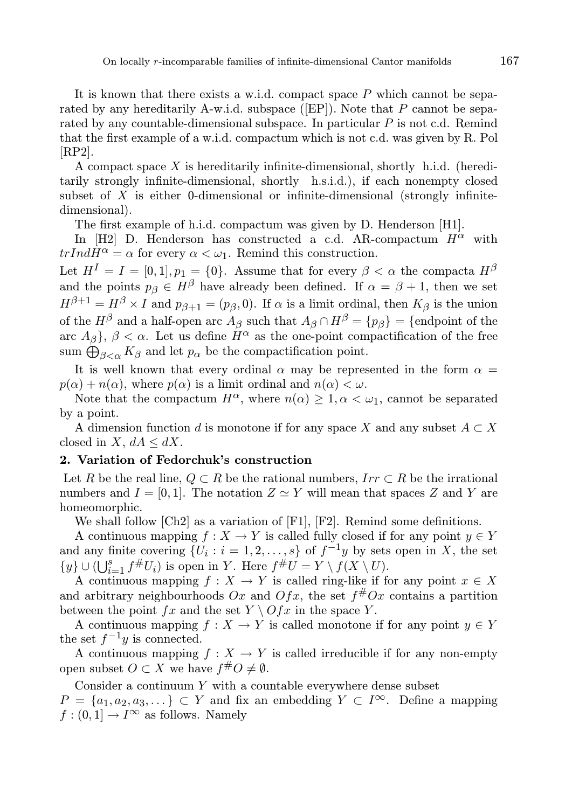It is known that there exists a w.i.d. compact space  $P$  which cannot be separated by any hereditarily A-w.i.d. subspace ([EP]). Note that P cannot be separated by any countable-dimensional subspace. In particular  $P$  is not c.d. Remind that the first example of a w.i.d. compactum which is not c.d. was given by R. Pol [RP2].

A compact space  $X$  is hereditarily infinite-dimensional, shortly h.i.d. (hereditarily strongly infinite-dimensional, shortly h.s.i.d.), if each nonempty closed subset of  $X$  is either 0-dimensional or infinite-dimensional (strongly infinitedimensional).

The first example of h.i.d. compactum was given by D. Henderson [H1].

In [H2] D. Henderson has constructed a c.d. AR-compactum  $H^{\alpha}$  with  $trIndH^{\alpha} = \alpha$  for every  $\alpha < \omega_1$ . Remind this construction.

Let  $H^I = I = [0, 1], p_1 = \{0\}$ . Assume that for every  $\beta < \alpha$  the compacta  $H^{\beta}$ and the points  $p_{\beta} \in H^{\beta}$  have already been defined. If  $\alpha = \beta + 1$ , then we set  $H^{\beta+1} = H^{\beta} \times I$  and  $p_{\beta+1} = (p_{\beta}, 0)$ . If  $\alpha$  is a limit ordinal, then  $K_{\beta}$  is the union of the  $H^{\beta}$  and a half-open arc  $A_{\beta}$  such that  $A_{\beta} \cap H^{\beta} = \{p_{\beta}\}\ = \{$ endpoint of the arc  $A_{\beta}$ ,  $\beta < \alpha$ . Let us define  $H^{\alpha}$  as the one-point compactification of the free sum  $\bigoplus_{\beta<\alpha} K_{\beta}$  and let  $p_{\alpha}$  be the compactification point.

It is well known that every ordinal  $\alpha$  may be represented in the form  $\alpha =$  $p(\alpha) + n(\alpha)$ , where  $p(\alpha)$  is a limit ordinal and  $n(\alpha) < \omega$ .

Note that the compactum  $H^{\alpha}$ , where  $n(\alpha) \geq 1, \alpha < \omega_1$ , cannot be separated by a point.

A dimension function d is monotone if for any space X and any subset  $A \subset X$ closed in X,  $dA \leq dX$ .

# 2. Variation of Fedorchuk's construction

Let R be the real line,  $Q \subset R$  be the rational numbers,  $Irr \subset R$  be the irrational numbers and  $I = [0, 1]$ . The notation  $Z \simeq Y$  will mean that spaces Z and Y are homeomorphic.

We shall follow [Ch2] as a variation of [F1], [F2]. Remind some definitions.

A continuous mapping  $f : X \to Y$  is called fully closed if for any point  $y \in Y$ and any finite covering  $\{U_i : i = 1, 2, ..., s\}$  of  $f^{-1}y$  by sets open in X, the set  $\{y\} \cup (\bigcup_{i=1}^s f^{\#}U_i)$  is open in Y. Here  $f^{\#}U = Y \setminus f(X \setminus U)$ .

A continuous mapping  $f : X \to Y$  is called ring-like if for any point  $x \in X$ and arbitrary neighbourhoods  $Ox$  and  $Ofx$ , the set  $f#Ox$  contains a partition between the point  $fx$  and the set  $Y \setminus Ofx$  in the space Y.

A continuous mapping  $f : X \to Y$  is called monotone if for any point  $y \in Y$ the set  $f^{-1}y$  is connected.

A continuous mapping  $f : X \to Y$  is called irreducible if for any non-empty open subset  $O \subset X$  we have  $f^{\#}O \neq \emptyset$ .

Consider a continuum  $Y$  with a countable everywhere dense subset  $P = \{a_1, a_2, a_3, ...\} \subset Y$  and fix an embedding  $Y \subset I^{\infty}$ . Define a mapping  $f:(0,1] \to I^{\infty}$  as follows. Namely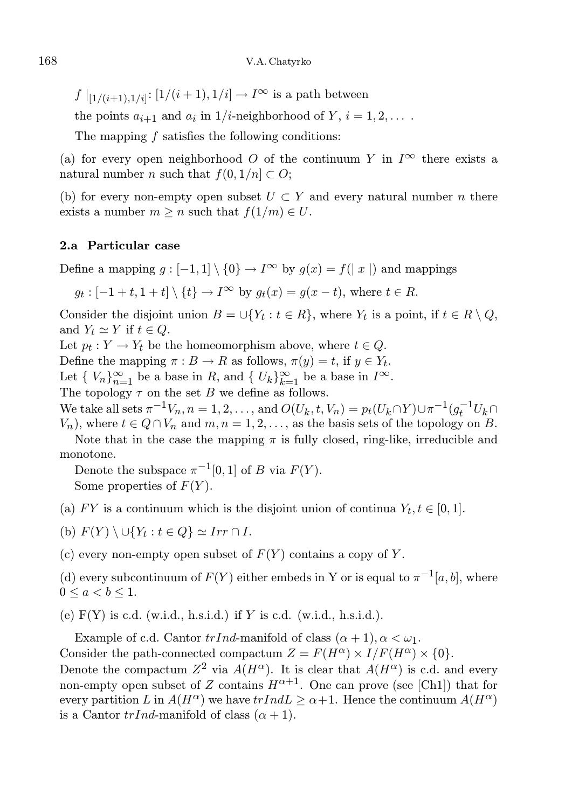$f|_{[1/(i+1),1/i]}: [1/(i+1),1/i] \to I^{\infty}$  is a path between

the points  $a_{i+1}$  and  $a_i$  in  $1/i$ -neighborhood of  $Y, i = 1, 2, \ldots$ .

The mapping f satisfies the following conditions:

(a) for every open neighborhood O of the continuum Y in  $I^{\infty}$  there exists a natural number n such that  $f(0, 1/n] \subset O;$ 

(b) for every non-empty open subset  $U \subset Y$  and every natural number n there exists a number  $m \geq n$  such that  $f(1/m) \in U$ .

# 2.a Particular case

Define a mapping  $g: [-1,1] \setminus \{0\} \to I^{\infty}$  by  $g(x) = f(|x|)$  and mappings

$$
g_t: [-1+t, 1+t] \setminus \{t\} \to I^{\infty}
$$
 by  $g_t(x) = g(x-t)$ , where  $t \in R$ .

Consider the disjoint union  $B = \bigcup \{ Y_t : t \in R \}$ , where  $Y_t$  is a point, if  $t \in R \setminus Q$ , and  $Y_t \simeq Y$  if  $t \in Q$ .

Let  $p_t: Y \to Y_t$  be the homeomorphism above, where  $t \in Q$ .

Define the mapping  $\pi : B \to R$  as follows,  $\pi(y) = t$ , if  $y \in Y_t$ .

Let  $\{V_n\}_{n=1}^{\infty}$  be a base in R, and  $\{U_k\}_{k=1}^{\infty}$  be a base in  $I^{\infty}$ .

The topology  $\tau$  on the set B we define as follows.

We take all sets  $\pi^{-1}V_n$ ,  $n = 1, 2, ...,$  and  $O(U_k, t, V_n) = p_t(U_k \cap Y) \cup \pi^{-1}(g_t^{-1}U_k \cap Y)$  $V_n$ , where  $t \in Q \cap V_n$  and  $m, n = 1, 2, \ldots$ , as the basis sets of the topology on B.

Note that in the case the mapping  $\pi$  is fully closed, ring-like, irreducible and monotone.

Denote the subspace  $\pi^{-1}[0,1]$  of B via  $F(Y)$ . Some properties of  $F(Y)$ .

(a) FY is a continuum which is the disjoint union of continua  $Y_t, t \in [0, 1]$ .

(b)  $F(Y) \setminus \bigcup \{Y_t : t \in Q\} \simeq Irr \cap I$ .

(c) every non-empty open subset of  $F(Y)$  contains a copy of Y.

(d) every subcontinuum of  $F(Y)$  either embeds in Y or is equal to  $\pi^{-1}[a, b]$ , where  $0 \leq a < b \leq 1$ .

(e)  $F(Y)$  is c.d. (w.i.d., h.s.i.d.) if Y is c.d. (w.i.d., h.s.i.d.).

Example of c.d. Cantor  $trInd$ -manifold of class  $(\alpha + 1), \alpha < \omega_1$ .

Consider the path-connected compactum  $Z = F(H^{\alpha}) \times I/F(H^{\alpha}) \times \{0\}.$ 

Denote the compactum  $Z^2$  via  $A(H^{\alpha})$ . It is clear that  $A(H^{\alpha})$  is c.d. and every non-empty open subset of Z contains  $H^{\alpha+1}$ . One can prove (see [Ch1]) that for every partition L in  $A(H^{\alpha})$  we have  $trIndL \geq \alpha+1$ . Hence the continuum  $A(H^{\alpha})$ is a Cantor  $trInd$ -manifold of class  $(\alpha + 1)$ .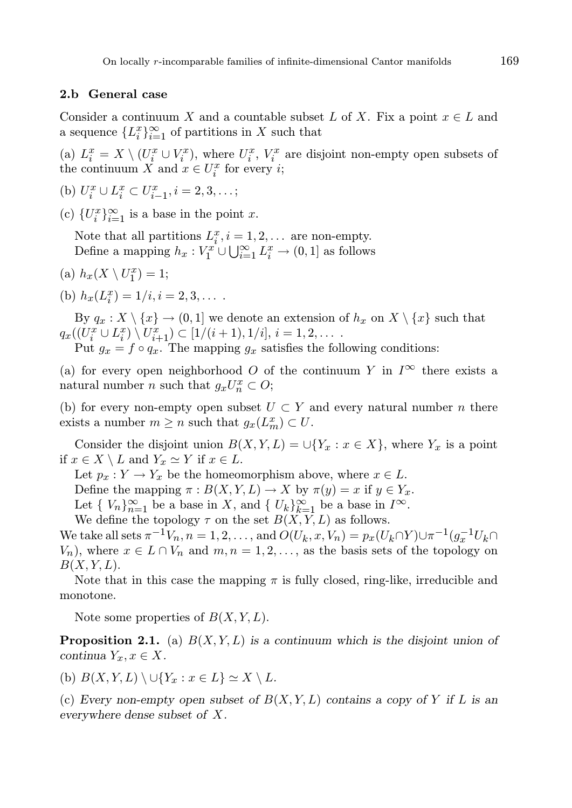### 2.b General case

Consider a continuum X and a countable subset L of X. Fix a point  $x \in L$  and a sequence  $\{L_i^x\}_{i=1}^{\infty}$  of partitions in X such that

(a)  $L_i^x = X \setminus (U_i^x \cup V_i^x)$ , where  $U_i^x$ ,  $V_i^x$  are disjoint non-empty open subsets of the continuum X and  $x \in U_i^x$  for every *i*;

(b)  $U_i^x \cup L_i^x \subset U_{i-1}^x, i = 2, 3, \dots;$ 

(c)  $\{U_i^x\}_{i=1}^{\infty}$  is a base in the point x.

Note that all partitions  $L_i^x$ ,  $i = 1, 2, \ldots$  are non-empty. Define a mapping  $h_x : V_1^x \cup \bigcup_{i=1}^{\infty} L_i^x \to (0, 1]$  as follows

(a)  $h_x(X \setminus U_1^x) = 1;$ 

(b) 
$$
h_x(L_i^x) = 1/i, i = 2, 3, ...
$$

By  $q_x : X \setminus \{x\} \to (0, 1]$  we denote an extension of  $h_x$  on  $X \setminus \{x\}$  such that  $q_x((U_i^x \cup L_i^x) \setminus U_{i+1}^x) \subset [1/(i+1), 1/i], i = 1, 2, \ldots$ 

Put  $g_x = f \circ q_x$ . The mapping  $g_x$  satisfies the following conditions:

(a) for every open neighborhood O of the continuum Y in  $I^{\infty}$  there exists a natural number *n* such that  $g_x U_n^x \subset O;$ 

(b) for every non-empty open subset  $U \subset Y$  and every natural number n there exists a number  $m \ge n$  such that  $g_x(L_m^x) \subset U$ .

Consider the disjoint union  $B(X, Y, L) = \bigcup \{Y_x : x \in X\}$ , where  $Y_x$  is a point if  $x \in X \setminus L$  and  $Y_x \simeq Y$  if  $x \in L$ .

Let  $p_x : Y \to Y_x$  be the homeomorphism above, where  $x \in L$ .

Define the mapping  $\pi : B(X, Y, L) \to X$  by  $\pi(y) = x$  if  $y \in Y_x$ .

Let  $\{V_n\}_{n=1}^{\infty}$  be a base in X, and  $\{U_k\}_{k=1}^{\infty}$  be a base in  $I^{\infty}$ .

We define the topology  $\tau$  on the set  $B(X, Y, L)$  as follows.

We take all sets  $\pi^{-1}V_n$ ,  $n = 1, 2, \ldots$ , and  $O(U_k, x, V_n) = p_x(U_k \cap Y) \cup \pi^{-1}(g_x^{-1}U_k \cap Y)$  $V_n$ ), where  $x \in L \cap V_n$  and  $m, n = 1, 2, \ldots$ , as the basis sets of the topology on  $B(X, Y, L)$ .

Note that in this case the mapping  $\pi$  is fully closed, ring-like, irreducible and monotone.

Note some properties of  $B(X, Y, L)$ .

**Proposition 2.1.** (a)  $B(X, Y, L)$  is a continuum which is the disjoint union of continua  $Y_x, x \in X$ .

(b)  $B(X, Y, L) \setminus \bigcup \{Y_x : x \in L\} \simeq X \setminus L$ .

(c) Every non-empty open subset of  $B(X, Y, L)$  contains a copy of Y if L is an everywhere dense subset of X.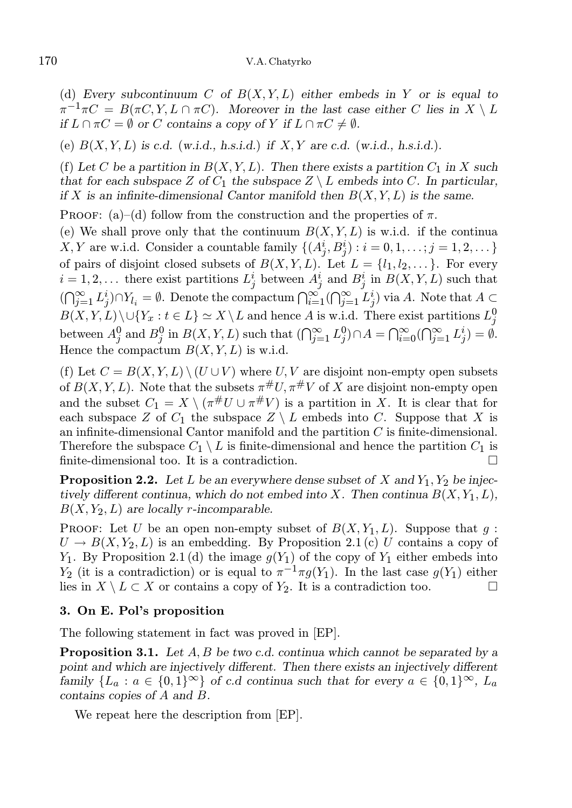(d) Every subcontinuum C of  $B(X, Y, L)$  either embeds in Y or is equal to  $\pi^{-1}\pi C = B(\pi C, Y, L \cap \pi C)$ . Moreover in the last case either C lies in  $X \setminus L$ if  $L \cap \pi C = \emptyset$  or C contains a copy of Y if  $L \cap \pi C \neq \emptyset$ .

(e)  $B(X, Y, L)$  is c.d. (w.i.d., h.s.i.d.) if  $X, Y$  are c.d. (w.i.d., h.s.i.d.).

(f) Let C be a partition in  $B(X, Y, L)$ . Then there exists a partition  $C_1$  in X such that for each subspace Z of  $C_1$  the subspace  $Z \setminus L$  embeds into C. In particular, if X is an infinite-dimensional Cantor manifold then  $B(X, Y, L)$  is the same.

PROOF: (a)–(d) follow from the construction and the properties of  $\pi$ .

(e) We shall prove only that the continuum  $B(X, Y, L)$  is w.i.d. if the continua X, Y are w.i.d. Consider a countable family  $\{(A_j^i, B_j^i) : i = 0, 1, \ldots; j = 1, 2, \ldots\}$ of pairs of disjoint closed subsets of  $B(X, Y, L)$ . Let  $L = \{l_1, l_2, \dots\}$ . For every  $i = 1, 2, \ldots$  there exist partitions  $L_j^i$  between  $A_j^i$  and  $B_j^i$  in  $B(X, Y, L)$  such that  $(\bigcap_{j=1}^{\infty} L_j^i) \cap Y_{l_i} = \emptyset$ . Denote the compactum  $\bigcap_{i=1}^{\infty} (\bigcap_{j=1}^{\infty} L_j^i)$  via A. Note that  $A \subset$  $B(X, Y, L) \setminus \cup \{Y_x : t \in L\} \simeq X \setminus L$  and hence A is w.i.d. There exist partitions  $L_j^0$ between  $A_j^0$  and  $B_j^0$  in  $B(X, Y, L)$  such that  $(\bigcap_{j=1}^{\infty} L_j^0) \cap A = \bigcap_{i=0}^{\infty} (\bigcap_{j=1}^{\infty} L_j^i) = \emptyset$ . Hence the compactum  $B(X, Y, L)$  is w.i.d.

(f) Let  $C = B(X, Y, L) \setminus (U \cup V)$  where U, V are disjoint non-empty open subsets of  $B(X, Y, L)$ . Note that the subsets  $\pi^{\#}U, \pi^{\#}V$  of X are disjoint non-empty open and the subset  $C_1 = X \setminus (\pi^{\#} U \cup \pi^{\#} V)$  is a partition in X. It is clear that for each subspace Z of  $C_1$  the subspace  $Z \setminus L$  embeds into C. Suppose that X is an infinite-dimensional Cantor manifold and the partition C is finite-dimensional. Therefore the subspace  $C_1 \setminus L$  is finite-dimensional and hence the partition  $C_1$  is finite-dimensional too. It is a contradiction.  $\Box$ 

**Proposition 2.2.** Let L be an everywhere dense subset of X and  $Y_1, Y_2$  be injectively different continua, which do not embed into X. Then continua  $B(X, Y_1, L)$ ,  $B(X, Y_2, L)$  are locally r-incomparable.

PROOF: Let U be an open non-empty subset of  $B(X, Y_1, L)$ . Suppose that g:  $U \to B(X, Y_2, L)$  is an embedding. By Proposition 2.1 (c) U contains a copy of  $Y_1$ . By Proposition 2.1 (d) the image  $g(Y_1)$  of the copy of  $Y_1$  either embeds into  $Y_2$  (it is a contradiction) or is equal to  $\pi^{-1} \pi g(Y_1)$ . In the last case  $g(Y_1)$  either lies in  $X \setminus L \subset X$  or contains a copy of  $Y_2$ . It is a contradiction too.

# 3. On E. Pol's proposition

The following statement in fact was proved in [EP].

**Proposition 3.1.** Let  $A, B$  be two c.d. continua which cannot be separated by a point and which are injectively different. Then there exists an injectively different family  $\{L_a : a \in \{0,1\}^\infty\}$  of c.d continua such that for every  $a \in \{0,1\}^\infty$ ,  $L_a$ contains copies of A and B.

We repeat here the description from [EP].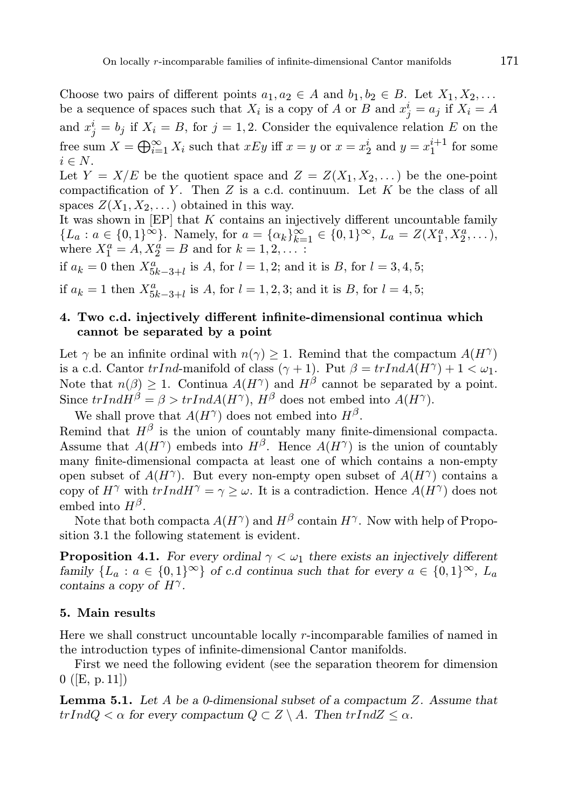Choose two pairs of different points  $a_1, a_2 \in A$  and  $b_1, b_2 \in B$ . Let  $X_1, X_2, \ldots$ be a sequence of spaces such that  $X_i$  is a copy of A or B and  $x_j^i = a_j$  if  $X_i = A$ and  $x_j^i = b_j$  if  $X_i = B$ , for  $j = 1, 2$ . Consider the equivalence relation E on the free sum  $X = \bigoplus_{i=1}^{\infty} X_i$  such that  $xEy$  iff  $x = y$  or  $x = x_2^i$  and  $y = x_1^{i+1}$  for some  $i \in N$ .

Let  $Y = X/E$  be the quotient space and  $Z = Z(X_1, X_2, ...)$  be the one-point compactification of  $Y$ . Then  $Z$  is a c.d. continuum. Let  $K$  be the class of all spaces  $Z(X_1, X_2, \ldots)$  obtained in this way.

It was shown in [EP] that K contains an injectively different uncountable family  ${L_a : a \in \{0,1\}^\infty}$ . Namely, for  $a = {\alpha_k}_{k=1}^\infty \in \{0,1\}^\infty$ ,  $L_a = Z(X_1^a, X_2^a, \ldots)$ , where  $X_1^a = A, X_2^a = B$  and for  $k = 1, 2, ...$ :

if  $a_k = 0$  then  $X_{5k-3+l}^a$  is A, for  $l = 1, 2$ ; and it is B, for  $l = 3, 4, 5$ ;

if  $a_k = 1$  then  $X_{5k-3+l}^a$  is A, for  $l = 1, 2, 3$ ; and it is B, for  $l = 4, 5$ ;

# 4. Two c.d. injectively different infinite-dimensional continua which cannot be separated by a point

Let  $\gamma$  be an infinite ordinal with  $n(\gamma) \geq 1$ . Remind that the compactum  $A(H^{\gamma})$ is a c.d. Cantor  $trInd$ -manifold of class  $(\gamma + 1)$ . Put  $\beta = trInd A(H^{\gamma}) + 1 < \omega_1$ . Note that  $n(\beta) \geq 1$ . Continua  $A(H^{\gamma})$  and  $H^{\beta}$  cannot be separated by a point. Since  $trInd H^{\beta} = \beta > trInd A(H^{\gamma}), H^{\beta}$  does not embed into  $A(H^{\gamma}).$ 

We shall prove that  $A(H^{\gamma})$  does not embed into  $H^{\beta}$ . Remind that  $H^{\beta}$  is the union of countably many finite-dimensional compacta. Assume that  $A(H^{\gamma})$  embeds into  $H^{\beta}$ . Hence  $A(H^{\gamma})$  is the union of countably many finite-dimensional compacta at least one of which contains a non-empty open subset of  $A(H^{\gamma})$ . But every non-empty open subset of  $A(H^{\gamma})$  contains a copy of  $H^{\gamma}$  with  $trInd H^{\gamma} = \gamma \geq \omega$ . It is a contradiction. Hence  $A(H^{\gamma})$  does not embed into  $H^{\beta}$ .

Note that both compacta  $A(H^{\gamma})$  and  $H^{\beta}$  contain  $H^{\gamma}$ . Now with help of Proposition 3.1 the following statement is evident.

**Proposition 4.1.** For every ordinal  $\gamma < \omega_1$  there exists an injectively different family  $\{L_a : a \in \{0,1\}^\infty\}$  of c.d continua such that for every  $a \in \{0,1\}^\infty$ ,  $L_a$ contains a copy of  $H^{\gamma}$ .

### 5. Main results

Here we shall construct uncountable locally r-incomparable families of named in the introduction types of infinite-dimensional Cantor manifolds.

First we need the following evident (see the separation theorem for dimension 0 ([E, p. 11])

**Lemma 5.1.** Let  $A$  be a 0-dimensional subset of a compactum  $Z$ . Assume that  $trIndQ < \alpha$  for every compactum  $Q \subset Z \setminus A$ . Then  $trIndZ \leq \alpha$ .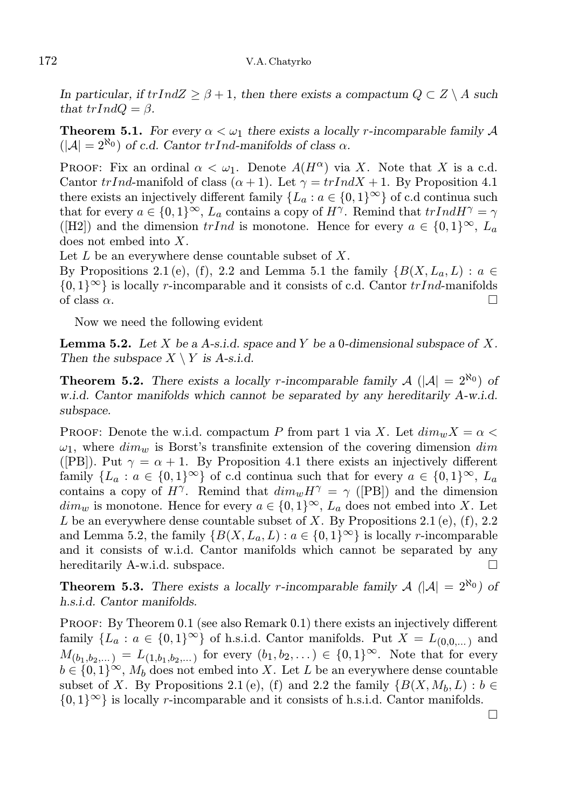In particular, if  $trIndZ \geq \beta + 1$ , then there exists a compactum  $Q \subset Z \setminus A$  such that  $trIndQ = \beta$ .

**Theorem 5.1.** For every  $\alpha < \omega_1$  there exists a locally r-incomparable family A  $(|A| = 2^{\aleph_0})$  of c.d. Cantor trInd-manifolds of class  $\alpha$ .

PROOF: Fix an ordinal  $\alpha < \omega_1$ . Denote  $A(H^{\alpha})$  via X. Note that X is a c.d. Cantor trInd-manifold of class  $(\alpha + 1)$ . Let  $\gamma = trIndX + 1$ . By Proposition 4.1 there exists an injectively different family  $\{L_a : a \in \{0,1\}^\infty\}$  of c.d continua such that for every  $a \in \{0,1\}^{\infty}$ ,  $L_a$  contains a copy of  $H^{\gamma}$ . Remind that  $trIndH^{\gamma} = \gamma$ ([H2]) and the dimension  $trInd$  is monotone. Hence for every  $a \in \{0,1\}^{\infty}$ ,  $L_a$ does not embed into X.

Let  $L$  be an everywhere dense countable subset of  $X$ .

By Propositions 2.1 (e), (f), 2.2 and Lemma 5.1 the family  $\{B(X, L_a, L) : a \in$  $\{0,1\}^{\infty}\}$  is locally r-incomparable and it consists of c.d. Cantor  $trInd$ -manifolds of class  $\alpha$ .

Now we need the following evident

**Lemma 5.2.** Let X be a A-s.i.d. space and Y be a 0-dimensional subspace of X. Then the subspace  $X \setminus Y$  is A-s.i.d.

**Theorem 5.2.** There exists a locally r-incomparable family  $A(|A| = 2^{\aleph_0})$  of w.i.d. Cantor manifolds which cannot be separated by any hereditarily A-w.i.d. subspace.

PROOF: Denote the w.i.d. compactum P from part 1 via X. Let  $dim_{w} X = \alpha$  $\omega_1$ , where  $dim_w$  is Borst's transfinite extension of the covering dimension dim ([PB]). Put  $\gamma = \alpha + 1$ . By Proposition 4.1 there exists an injectively different family  $\{L_a : a \in \{0,1\}^\infty\}$  of c.d continua such that for every  $a \in \{0,1\}^\infty$ ,  $L_a$ contains a copy of  $H^{\gamma}$ . Remind that  $dim_{w} H^{\gamma} = \gamma$  ([PB]) and the dimension  $dim_w$  is monotone. Hence for every  $a \in \{0,1\}^{\infty}$ ,  $L_a$  does not embed into X. Let L be an everywhere dense countable subset of X. By Propositions  $2.1$  (e), (f),  $2.2$ and Lemma 5.2, the family  $\{B(X, L_a, L) : a \in \{0, 1\}^\infty\}$  is locally r-incomparable and it consists of w.i.d. Cantor manifolds which cannot be separated by any hereditarily A-w.i.d. subspace.

**Theorem 5.3.** There exists a locally r-incomparable family  $A \mid A| = 2^{\aleph_0}$  of h.s.i.d. Cantor manifolds.

PROOF: By Theorem 0.1 (see also Remark 0.1) there exists an injectively different family  $\{L_a : a \in \{0,1\}^{\infty}\}\$  of h.s.i.d. Cantor manifolds. Put  $X = L_{(0,0,...)}$  and  $M_{(b_1,b_2,...)} = L_{(1,b_1,b_2,...)}$  for every  $(b_1,b_2,...) \in \{0,1\}^{\infty}$ . Note that for every  $b \in \{0,1\}^{\infty}$ ,  $M_b$  does not embed into X. Let L be an everywhere dense countable subset of X. By Propositions 2.1(e), (f) and 2.2 the family  $\{B(X, M_b, L) : b \in$  $\{0,1\}^{\infty}$  is locally r-incomparable and it consists of h.s.i.d. Cantor manifolds.

 $\Box$